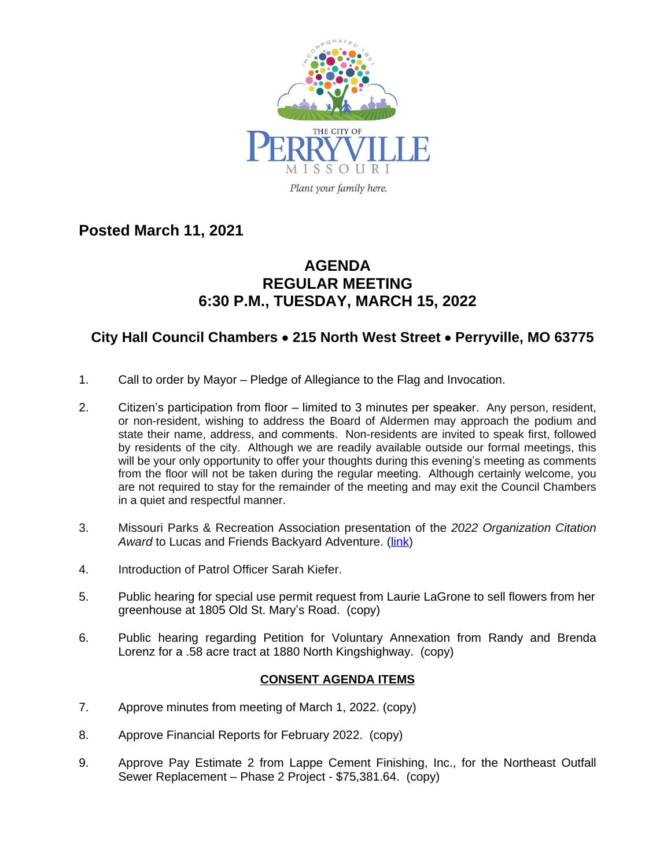

**Posted March 11, 2021**

## **AGENDA REGULAR MEETING 6:30 P.M., TUESDAY, MARCH 15, 2022**

## **City Hall Council Chambers** · **215 North West Street** · **Perryville, MO 63775**

- 1. Call to order by Mayor Pledge of Allegiance to the Flag and Invocation.
- 2. Citizen's participation from floor limited to 3 minutes per speaker. Any person, resident, or non-resident, wishing to address the Board of Aldermen may approach the podium and state their name, address, and comments. Non-residents are invited to speak first, followed by residents of the city. Although we are readily available outside our formal meetings, this will be your only opportunity to offer your thoughts during this evening's meeting as comments from the floor will not be taken during the regular meeting. Although certainly welcome, you are not required to stay for the remainder of the meeting and may exit the Council Chambers in a quiet and respectful manner.
- 3. Missouri Parks & Recreation Association presentation of the *2022 Organization Citation* Award to Lucas and Friends Backyard Adventure. ([link](https://www.youtube.com/watch?v=c_UeGL9Vak8))
- 4. Introduction of Patrol Officer Sarah Kiefer.
- 5. Public hearing for special use permit request from Laurie LaGrone to sell flowers from her greenhouse at 1805 Old St. Mary's Road. (copy)
- 6. Public hearing regarding Petition for Voluntary Annexation from Randy and Brenda Lorenz for a .58 acre tract at 1880 North Kingshighway. (copy)

## **CONSENT AGENDA ITEMS**

- 7. Approve minutes from meeting of March 1, 2022. (copy)
- 8. Approve Financial Reports for February 2022. (copy)
- 9. Approve Pay Estimate 2 from Lappe Cement Finishing, Inc., for the Northeast Outfall Sewer Replacement – Phase 2 Project - \$75,381.64. (copy)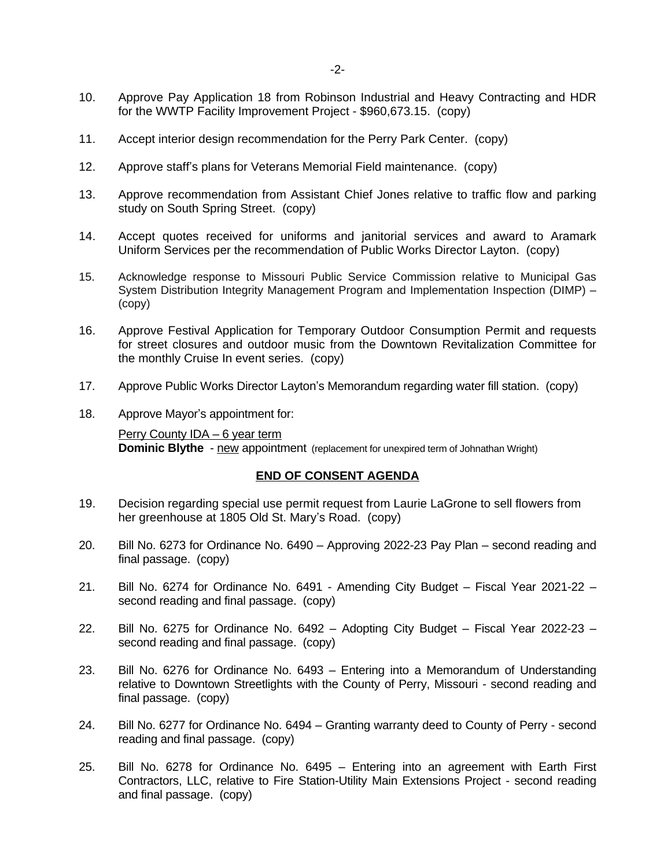- 10. Approve Pay Application 18 from Robinson Industrial and Heavy Contracting and HDR for the WWTP Facility Improvement Project - \$960,673.15. (copy)
- 11. Accept interior design recommendation for the Perry Park Center. (copy)
- 12. Approve staff's plans for Veterans Memorial Field maintenance. (copy)
- 13. Approve recommendation from Assistant Chief Jones relative to traffic flow and parking study on South Spring Street. (copy)
- 14. Accept quotes received for uniforms and janitorial services and award to Aramark Uniform Services per the recommendation of Public Works Director Layton. (copy)
- 15. Acknowledge response to Missouri Public Service Commission relative to Municipal Gas System Distribution Integrity Management Program and Implementation Inspection (DIMP) – (copy)
- 16. Approve Festival Application for Temporary Outdoor Consumption Permit and requests for street closures and outdoor music from the Downtown Revitalization Committee for the monthly Cruise In event series. (copy)
- 17. Approve Public Works Director Layton's Memorandum regarding water fill station. (copy)
- 18. Approve Mayor's appointment for:

Perry County IDA – 6 year term **Dominic Blythe** - new appointment (replacement for unexpired term of Johnathan Wright)

## **END OF CONSENT AGENDA**

- 19. Decision regarding special use permit request from Laurie LaGrone to sell flowers from her greenhouse at 1805 Old St. Mary's Road. (copy)
- 20. Bill No. 6273 for Ordinance No. 6490 Approving 2022-23 Pay Plan second reading and final passage. (copy)
- 21. Bill No. 6274 for Ordinance No. 6491 Amending City Budget Fiscal Year 2021-22 second reading and final passage. (copy)
- 22. Bill No. 6275 for Ordinance No. 6492 Adopting City Budget Fiscal Year 2022-23 second reading and final passage. (copy)
- 23. Bill No. 6276 for Ordinance No. 6493 Entering into a Memorandum of Understanding relative to Downtown Streetlights with the County of Perry, Missouri - second reading and final passage. (copy)
- 24. Bill No. 6277 for Ordinance No. 6494 Granting warranty deed to County of Perry second reading and final passage. (copy)
- 25. Bill No. 6278 for Ordinance No. 6495 Entering into an agreement with Earth First Contractors, LLC, relative to Fire Station-Utility Main Extensions Project - second reading and final passage. (copy)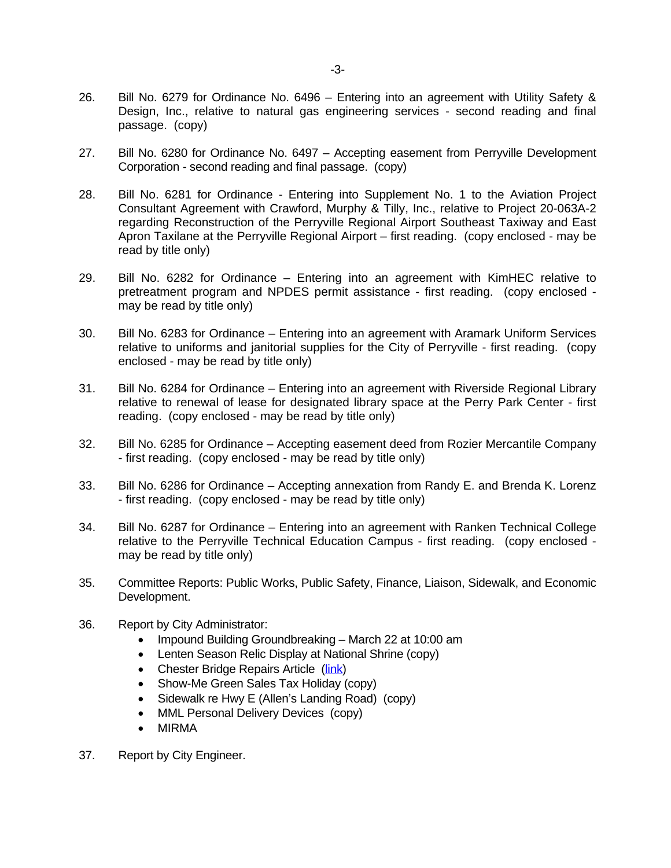- 26. Bill No. 6279 for Ordinance No. 6496 Entering into an agreement with Utility Safety & Design, Inc., relative to natural gas engineering services - second reading and final passage. (copy)
- 27. Bill No. 6280 for Ordinance No. 6497 Accepting easement from Perryville Development Corporation - second reading and final passage. (copy)
- 28. Bill No. 6281 for Ordinance Entering into Supplement No. 1 to the Aviation Project Consultant Agreement with Crawford, Murphy & Tilly, Inc., relative to Project 20-063A-2 regarding Reconstruction of the Perryville Regional Airport Southeast Taxiway and East Apron Taxilane at the Perryville Regional Airport – first reading. (copy enclosed - may be read by title only)
- 29. Bill No. 6282 for Ordinance Entering into an agreement with KimHEC relative to pretreatment program and NPDES permit assistance - first reading. (copy enclosed may be read by title only)
- 30. Bill No. 6283 for Ordinance Entering into an agreement with Aramark Uniform Services relative to uniforms and janitorial supplies for the City of Perryville - first reading. (copy enclosed - may be read by title only)
- 31. Bill No. 6284 for Ordinance Entering into an agreement with Riverside Regional Library relative to renewal of lease for designated library space at the Perry Park Center - first reading. (copy enclosed - may be read by title only)
- 32. Bill No. 6285 for Ordinance Accepting easement deed from Rozier Mercantile Company - first reading. (copy enclosed - may be read by title only)
- 33. Bill No. 6286 for Ordinance Accepting annexation from Randy E. and Brenda K. Lorenz - first reading. (copy enclosed - may be read by title only)
- 34. Bill No. 6287 for Ordinance Entering into an agreement with Ranken Technical College relative to the Perryville Technical Education Campus - first reading. (copy enclosed may be read by title only)
- 35. Committee Reports: Public Works, Public Safety, Finance, Liaison, Sidewalk, and Economic Development.
- 36. Report by City Administrator:
	- Impound Building Groundbreaking March 22 at 10:00 am
	- Lenten Season Relic Display at National Shrine (copy)
	- Chester Bridge Repairs Article ([link\)](https://www.republicmonitor.com/stories/chester-bridge-repairs-set-for-this-summer,14681)
	- Show-Me Green Sales Tax Holiday (copy)
	- Sidewalk re Hwy E (Allen's Landing Road) (copy)
	- MML Personal Delivery Devices (copy)
	- MIRMA
- 37. Report by City Engineer.